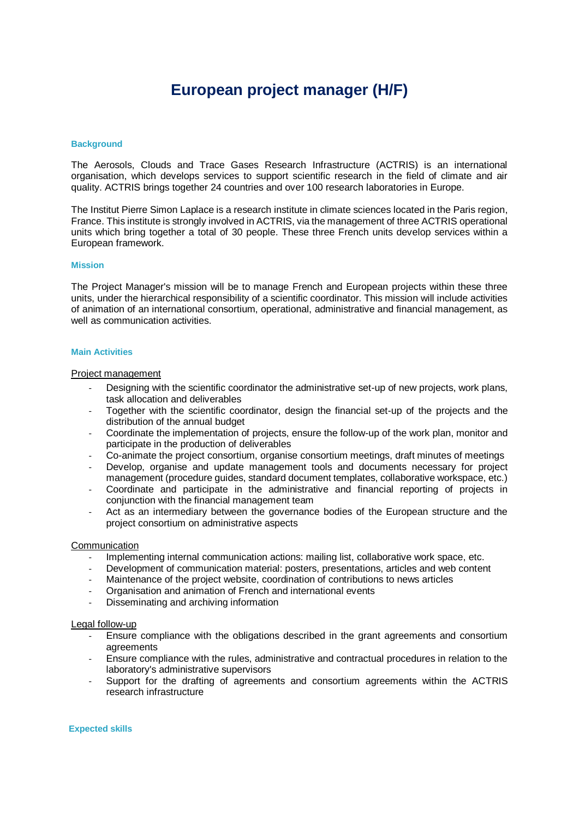# **European project manager (H/F)**

# **Background**

The Aerosols, Clouds and Trace Gases Research Infrastructure (ACTRIS) is an international organisation, which develops services to support scientific research in the field of climate and air quality. ACTRIS brings together 24 countries and over 100 research laboratories in Europe.

The Institut Pierre Simon Laplace is a research institute in climate sciences located in the Paris region, France. This institute is strongly involved in ACTRIS, via the management of three ACTRIS operational units which bring together a total of 30 people. These three French units develop services within a European framework.

## **Mission**

The Project Manager's mission will be to manage French and European projects within these three units, under the hierarchical responsibility of a scientific coordinator. This mission will include activities of animation of an international consortium, operational, administrative and financial management, as well as communication activities.

## **Main Activities**

## Project management

- Designing with the scientific coordinator the administrative set-up of new projects, work plans, task allocation and deliverables
- Together with the scientific coordinator, design the financial set-up of the projects and the distribution of the annual budget
- Coordinate the implementation of projects, ensure the follow-up of the work plan, monitor and participate in the production of deliverables
- Co-animate the project consortium, organise consortium meetings, draft minutes of meetings
- Develop, organise and update management tools and documents necessary for project management (procedure guides, standard document templates, collaborative workspace, etc.)
- Coordinate and participate in the administrative and financial reporting of projects in conjunction with the financial management team
- Act as an intermediary between the governance bodies of the European structure and the project consortium on administrative aspects

#### **Communication**

- Implementing internal communication actions: mailing list, collaborative work space, etc.
- Development of communication material: posters, presentations, articles and web content
- Maintenance of the project website, coordination of contributions to news articles
- Organisation and animation of French and international events
- Disseminating and archiving information

# Legal follow-up

- Ensure compliance with the obligations described in the grant agreements and consortium agreements
- Ensure compliance with the rules, administrative and contractual procedures in relation to the laboratory's administrative supervisors
- Support for the drafting of agreements and consortium agreements within the ACTRIS research infrastructure

# **Expected skills**